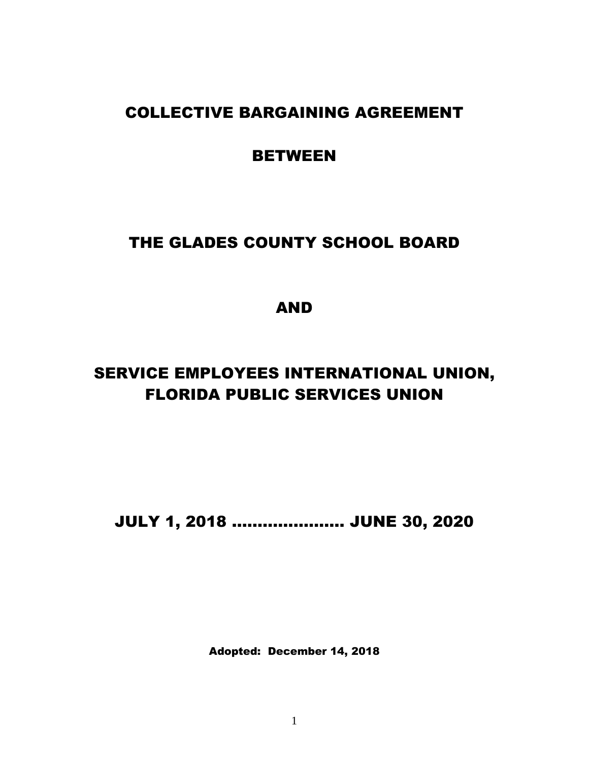# COLLECTIVE BARGAINING AGREEMENT

# BETWEEN

# THE GLADES COUNTY SCHOOL BOARD

AND

# SERVICE EMPLOYEES INTERNATIONAL UNION, FLORIDA PUBLIC SERVICES UNION

JULY 1, 2018 …………………. JUNE 30, 2020

Adopted: December 14, 2018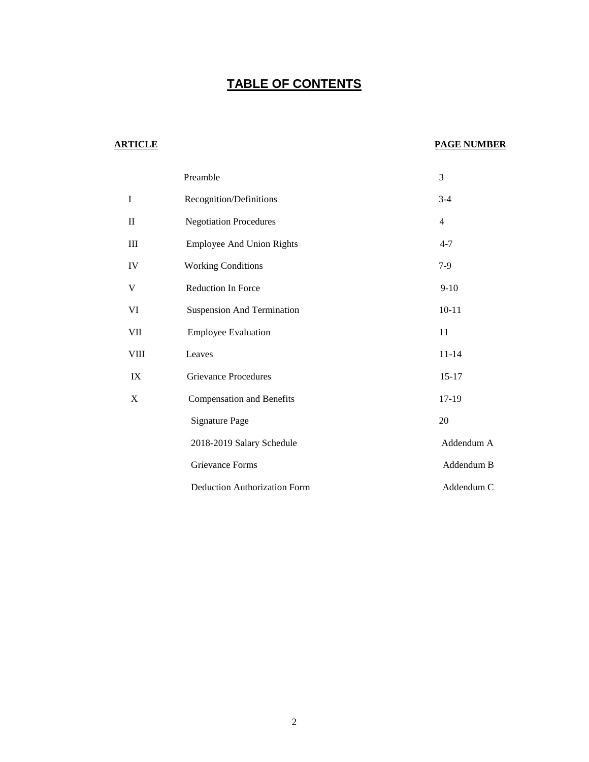# **TABLE OF CONTENTS**

#### **ARTICLE PAGE NUMBER**

|               | Preamble                            | 3              |
|---------------|-------------------------------------|----------------|
| $\rm I$       | Recognition/Definitions             | $3-4$          |
| $\rm II$      | <b>Negotiation Procedures</b>       | $\overline{4}$ |
| $\rm III$     | <b>Employee And Union Rights</b>    | $4 - 7$        |
| IV            | <b>Working Conditions</b>           | $7-9$          |
| $\mathbf V$   | Reduction In Force                  | $9-10$         |
| VI            | <b>Suspension And Termination</b>   | $10 - 11$      |
| VII           | <b>Employee Evaluation</b>          | 11             |
| ${\rm VIII}$  | Leaves                              | $11 - 14$      |
| $\mathbf{IX}$ | <b>Grievance Procedures</b>         | $15 - 17$      |
| $\mathbf X$   | <b>Compensation and Benefits</b>    | 17-19          |
|               | <b>Signature Page</b>               | $20\,$         |
|               | 2018-2019 Salary Schedule           | Addendum A     |
|               | Grievance Forms                     | Addendum B     |
|               | <b>Deduction Authorization Form</b> | Addendum C     |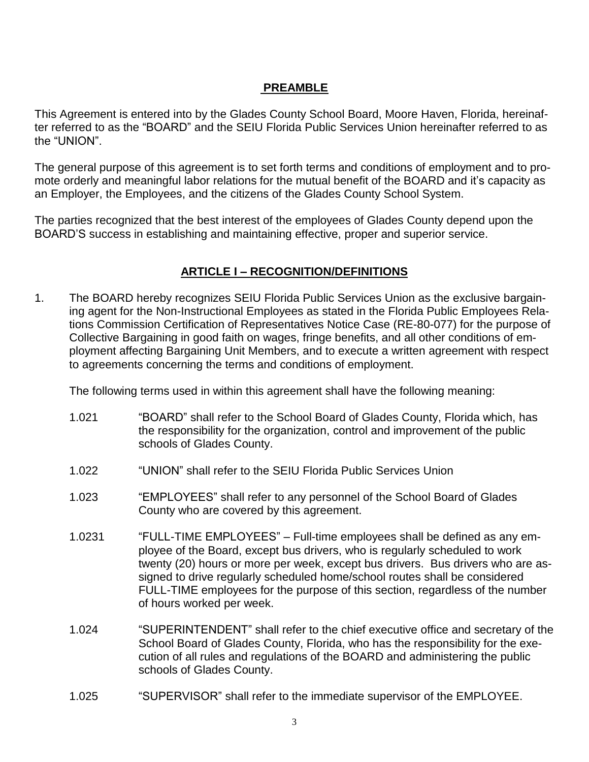#### **PREAMBLE**

This Agreement is entered into by the Glades County School Board, Moore Haven, Florida, hereinafter referred to as the "BOARD" and the SEIU Florida Public Services Union hereinafter referred to as the "UNION".

The general purpose of this agreement is to set forth terms and conditions of employment and to promote orderly and meaningful labor relations for the mutual benefit of the BOARD and it's capacity as an Employer, the Employees, and the citizens of the Glades County School System.

The parties recognized that the best interest of the employees of Glades County depend upon the BOARD'S success in establishing and maintaining effective, proper and superior service.

#### **ARTICLE I – RECOGNITION/DEFINITIONS**

1. The BOARD hereby recognizes SEIU Florida Public Services Union as the exclusive bargaining agent for the Non-Instructional Employees as stated in the Florida Public Employees Relations Commission Certification of Representatives Notice Case (RE-80-077) for the purpose of Collective Bargaining in good faith on wages, fringe benefits, and all other conditions of employment affecting Bargaining Unit Members, and to execute a written agreement with respect to agreements concerning the terms and conditions of employment.

The following terms used in within this agreement shall have the following meaning:

- 1.021 "BOARD" shall refer to the School Board of Glades County, Florida which, has the responsibility for the organization, control and improvement of the public schools of Glades County.
- 1.022 "UNION" shall refer to the SEIU Florida Public Services Union
- 1.023 "EMPLOYEES" shall refer to any personnel of the School Board of Glades County who are covered by this agreement.
- 1.0231 "FULL-TIME EMPLOYEES" Full-time employees shall be defined as any employee of the Board, except bus drivers, who is regularly scheduled to work twenty (20) hours or more per week, except bus drivers. Bus drivers who are assigned to drive regularly scheduled home/school routes shall be considered FULL-TIME employees for the purpose of this section, regardless of the number of hours worked per week.
- 1.024 "SUPERINTENDENT" shall refer to the chief executive office and secretary of the School Board of Glades County, Florida, who has the responsibility for the execution of all rules and regulations of the BOARD and administering the public schools of Glades County.
- 1.025 "SUPERVISOR" shall refer to the immediate supervisor of the EMPLOYEE.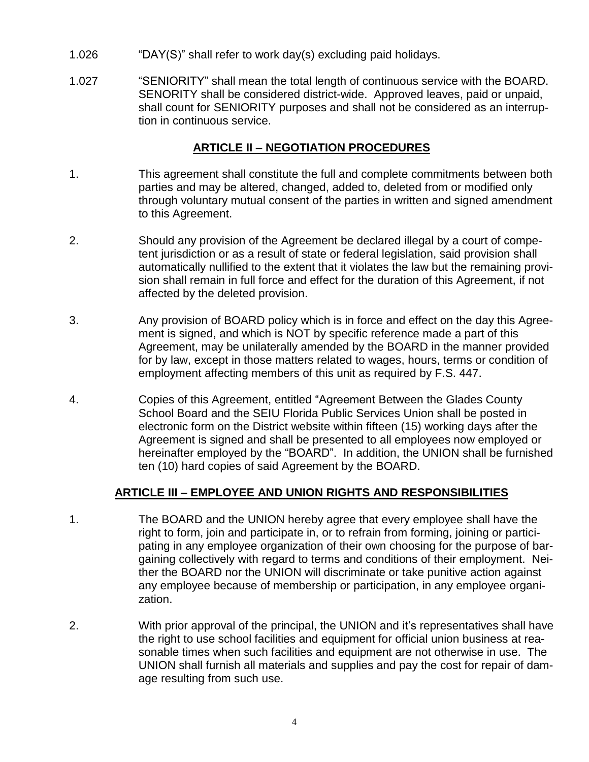- 1.026 "DAY(S)" shall refer to work day(s) excluding paid holidays.
- 1.027 "SENIORITY" shall mean the total length of continuous service with the BOARD. SENORITY shall be considered district-wide. Approved leaves, paid or unpaid, shall count for SENIORITY purposes and shall not be considered as an interruption in continuous service.

#### **ARTICLE II – NEGOTIATION PROCEDURES**

- 1. This agreement shall constitute the full and complete commitments between both parties and may be altered, changed, added to, deleted from or modified only through voluntary mutual consent of the parties in written and signed amendment to this Agreement.
- 2. Should any provision of the Agreement be declared illegal by a court of competent jurisdiction or as a result of state or federal legislation, said provision shall automatically nullified to the extent that it violates the law but the remaining provision shall remain in full force and effect for the duration of this Agreement, if not affected by the deleted provision.
- 3. Any provision of BOARD policy which is in force and effect on the day this Agreement is signed, and which is NOT by specific reference made a part of this Agreement, may be unilaterally amended by the BOARD in the manner provided for by law, except in those matters related to wages, hours, terms or condition of employment affecting members of this unit as required by F.S. 447.
- 4. Copies of this Agreement, entitled "Agreement Between the Glades County School Board and the SEIU Florida Public Services Union shall be posted in electronic form on the District website within fifteen (15) working days after the Agreement is signed and shall be presented to all employees now employed or hereinafter employed by the "BOARD". In addition, the UNION shall be furnished ten (10) hard copies of said Agreement by the BOARD.

#### **ARTICLE III – EMPLOYEE AND UNION RIGHTS AND RESPONSIBILITIES**

- 1. The BOARD and the UNION hereby agree that every employee shall have the right to form, join and participate in, or to refrain from forming, joining or participating in any employee organization of their own choosing for the purpose of bargaining collectively with regard to terms and conditions of their employment. Neither the BOARD nor the UNION will discriminate or take punitive action against any employee because of membership or participation, in any employee organization.
- 2. With prior approval of the principal, the UNION and it's representatives shall have the right to use school facilities and equipment for official union business at reasonable times when such facilities and equipment are not otherwise in use. The UNION shall furnish all materials and supplies and pay the cost for repair of damage resulting from such use.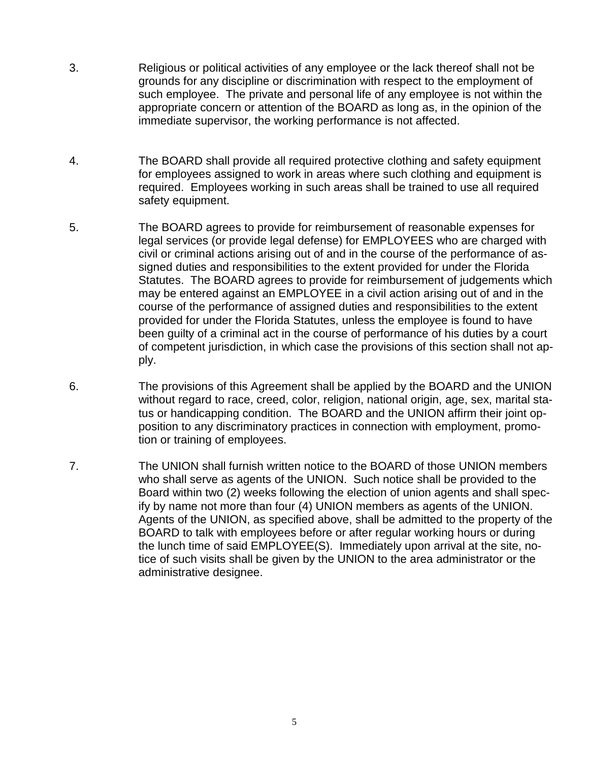- 3. Religious or political activities of any employee or the lack thereof shall not be grounds for any discipline or discrimination with respect to the employment of such employee. The private and personal life of any employee is not within the appropriate concern or attention of the BOARD as long as, in the opinion of the immediate supervisor, the working performance is not affected.
- 4. The BOARD shall provide all required protective clothing and safety equipment for employees assigned to work in areas where such clothing and equipment is required. Employees working in such areas shall be trained to use all required safety equipment.
- 5. The BOARD agrees to provide for reimbursement of reasonable expenses for legal services (or provide legal defense) for EMPLOYEES who are charged with civil or criminal actions arising out of and in the course of the performance of assigned duties and responsibilities to the extent provided for under the Florida Statutes. The BOARD agrees to provide for reimbursement of judgements which may be entered against an EMPLOYEE in a civil action arising out of and in the course of the performance of assigned duties and responsibilities to the extent provided for under the Florida Statutes, unless the employee is found to have been guilty of a criminal act in the course of performance of his duties by a court of competent jurisdiction, in which case the provisions of this section shall not apply.
- 6. The provisions of this Agreement shall be applied by the BOARD and the UNION without regard to race, creed, color, religion, national origin, age, sex, marital status or handicapping condition. The BOARD and the UNION affirm their joint opposition to any discriminatory practices in connection with employment, promotion or training of employees.
- 7. The UNION shall furnish written notice to the BOARD of those UNION members who shall serve as agents of the UNION. Such notice shall be provided to the Board within two (2) weeks following the election of union agents and shall specify by name not more than four (4) UNION members as agents of the UNION. Agents of the UNION, as specified above, shall be admitted to the property of the BOARD to talk with employees before or after regular working hours or during the lunch time of said EMPLOYEE(S). Immediately upon arrival at the site, notice of such visits shall be given by the UNION to the area administrator or the administrative designee.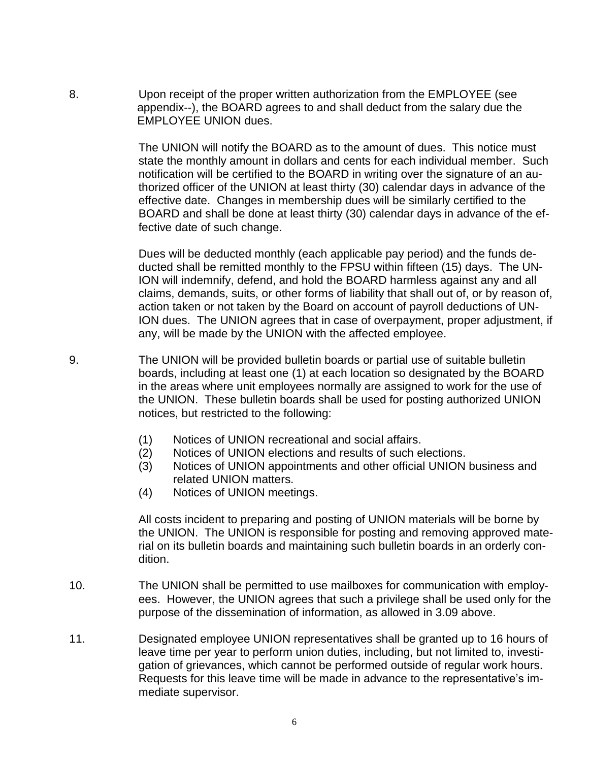8. Upon receipt of the proper written authorization from the EMPLOYEE (see appendix--), the BOARD agrees to and shall deduct from the salary due the EMPLOYEE UNION dues.

> The UNION will notify the BOARD as to the amount of dues. This notice must state the monthly amount in dollars and cents for each individual member. Such notification will be certified to the BOARD in writing over the signature of an authorized officer of the UNION at least thirty (30) calendar days in advance of the effective date. Changes in membership dues will be similarly certified to the BOARD and shall be done at least thirty (30) calendar days in advance of the effective date of such change.

> Dues will be deducted monthly (each applicable pay period) and the funds deducted shall be remitted monthly to the FPSU within fifteen (15) days. The UN-ION will indemnify, defend, and hold the BOARD harmless against any and all claims, demands, suits, or other forms of liability that shall out of, or by reason of, action taken or not taken by the Board on account of payroll deductions of UN-ION dues. The UNION agrees that in case of overpayment, proper adjustment, if any, will be made by the UNION with the affected employee.

- 9. The UNION will be provided bulletin boards or partial use of suitable bulletin boards, including at least one (1) at each location so designated by the BOARD in the areas where unit employees normally are assigned to work for the use of the UNION. These bulletin boards shall be used for posting authorized UNION notices, but restricted to the following:
	- (1) Notices of UNION recreational and social affairs.
	- (2) Notices of UNION elections and results of such elections.
	- (3) Notices of UNION appointments and other official UNION business and related UNION matters.
	- (4) Notices of UNION meetings.

All costs incident to preparing and posting of UNION materials will be borne by the UNION. The UNION is responsible for posting and removing approved material on its bulletin boards and maintaining such bulletin boards in an orderly condition.

- 10. The UNION shall be permitted to use mailboxes for communication with employees. However, the UNION agrees that such a privilege shall be used only for the purpose of the dissemination of information, as allowed in 3.09 above.
- 11. Designated employee UNION representatives shall be granted up to 16 hours of leave time per year to perform union duties, including, but not limited to, investigation of grievances, which cannot be performed outside of regular work hours. Requests for this leave time will be made in advance to the representative's immediate supervisor.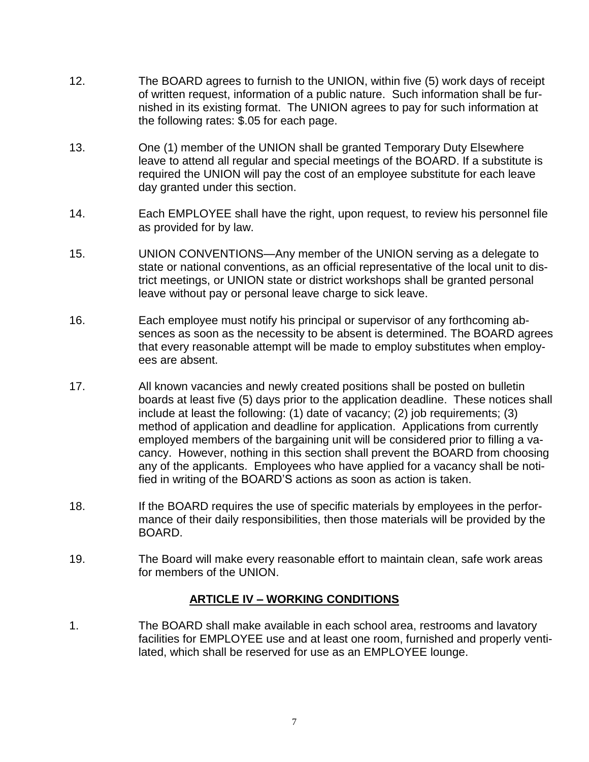- 12. The BOARD agrees to furnish to the UNION, within five (5) work days of receipt of written request, information of a public nature. Such information shall be furnished in its existing format. The UNION agrees to pay for such information at the following rates: \$.05 for each page.
- 13. One (1) member of the UNION shall be granted Temporary Duty Elsewhere leave to attend all regular and special meetings of the BOARD. If a substitute is required the UNION will pay the cost of an employee substitute for each leave day granted under this section.
- 14. Each EMPLOYEE shall have the right, upon request, to review his personnel file as provided for by law.
- 15. UNION CONVENTIONS—Any member of the UNION serving as a delegate to state or national conventions, as an official representative of the local unit to district meetings, or UNION state or district workshops shall be granted personal leave without pay or personal leave charge to sick leave.
- 16. Each employee must notify his principal or supervisor of any forthcoming absences as soon as the necessity to be absent is determined. The BOARD agrees that every reasonable attempt will be made to employ substitutes when employees are absent.
- 17. All known vacancies and newly created positions shall be posted on bulletin boards at least five (5) days prior to the application deadline. These notices shall include at least the following: (1) date of vacancy; (2) job requirements; (3) method of application and deadline for application. Applications from currently employed members of the bargaining unit will be considered prior to filling a vacancy. However, nothing in this section shall prevent the BOARD from choosing any of the applicants. Employees who have applied for a vacancy shall be notified in writing of the BOARD'S actions as soon as action is taken.
- 18. If the BOARD requires the use of specific materials by employees in the performance of their daily responsibilities, then those materials will be provided by the BOARD.
- 19. The Board will make every reasonable effort to maintain clean, safe work areas for members of the UNION.

#### **ARTICLE IV – WORKING CONDITIONS**

1. The BOARD shall make available in each school area, restrooms and lavatory facilities for EMPLOYEE use and at least one room, furnished and properly ventilated, which shall be reserved for use as an EMPLOYEE lounge.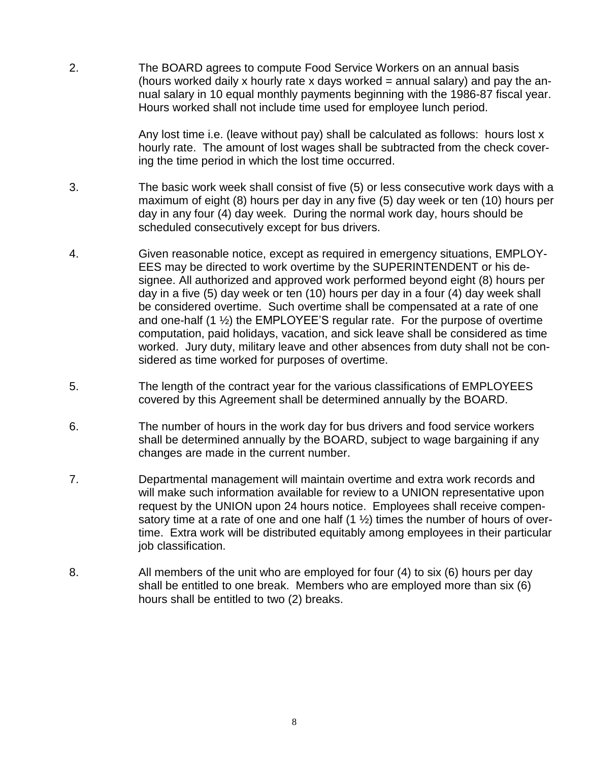2. The BOARD agrees to compute Food Service Workers on an annual basis (hours worked daily x hourly rate x days worked  $=$  annual salary) and pay the annual salary in 10 equal monthly payments beginning with the 1986-87 fiscal year. Hours worked shall not include time used for employee lunch period.

> Any lost time i.e. (leave without pay) shall be calculated as follows: hours lost x hourly rate. The amount of lost wages shall be subtracted from the check covering the time period in which the lost time occurred.

- 3. The basic work week shall consist of five (5) or less consecutive work days with a maximum of eight (8) hours per day in any five (5) day week or ten (10) hours per day in any four (4) day week. During the normal work day, hours should be scheduled consecutively except for bus drivers.
- 4. Given reasonable notice, except as required in emergency situations, EMPLOY-EES may be directed to work overtime by the SUPERINTENDENT or his designee. All authorized and approved work performed beyond eight (8) hours per day in a five (5) day week or ten (10) hours per day in a four (4) day week shall be considered overtime. Such overtime shall be compensated at a rate of one and one-half  $(1 \frac{1}{2})$  the EMPLOYEE'S regular rate. For the purpose of overtime computation, paid holidays, vacation, and sick leave shall be considered as time worked. Jury duty, military leave and other absences from duty shall not be considered as time worked for purposes of overtime.
- 5. The length of the contract year for the various classifications of EMPLOYEES covered by this Agreement shall be determined annually by the BOARD.
- 6. The number of hours in the work day for bus drivers and food service workers shall be determined annually by the BOARD, subject to wage bargaining if any changes are made in the current number.
- 7. Departmental management will maintain overtime and extra work records and will make such information available for review to a UNION representative upon request by the UNION upon 24 hours notice. Employees shall receive compensatory time at a rate of one and one half  $(1 \frac{1}{2})$  times the number of hours of overtime. Extra work will be distributed equitably among employees in their particular job classification.
- 8. All members of the unit who are employed for four (4) to six (6) hours per day shall be entitled to one break. Members who are employed more than six (6) hours shall be entitled to two (2) breaks.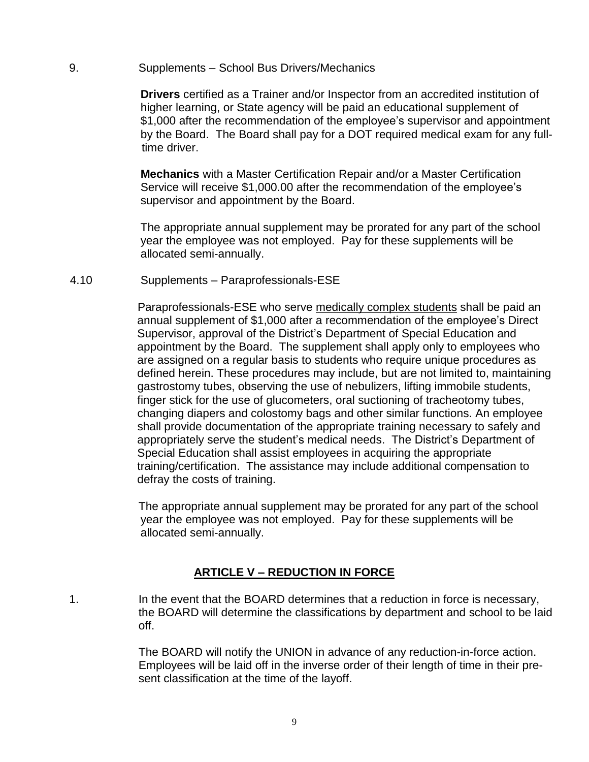#### 9. Supplements – School Bus Drivers/Mechanics

 **Drivers** certified as a Trainer and/or Inspector from an accredited institution of higher learning, or State agency will be paid an educational supplement of \$1,000 after the recommendation of the employee's supervisor and appointment by the Board. The Board shall pay for a DOT required medical exam for any full time driver.

 **Mechanics** with a Master Certification Repair and/or a Master Certification Service will receive \$1,000.00 after the recommendation of the employee's supervisor and appointment by the Board.

 The appropriate annual supplement may be prorated for any part of the school year the employee was not employed. Pay for these supplements will be allocated semi-annually.

4.10 Supplements – Paraprofessionals-ESE

 Paraprofessionals-ESE who serve medically complex students shall be paid an annual supplement of \$1,000 after a recommendation of the employee's Direct Supervisor, approval of the District's Department of Special Education and appointment by the Board. The supplement shall apply only to employees who are assigned on a regular basis to students who require unique procedures as defined herein. These procedures may include, but are not limited to, maintaining gastrostomy tubes, observing the use of nebulizers, lifting immobile students, finger stick for the use of glucometers, oral suctioning of tracheotomy tubes, changing diapers and colostomy bags and other similar functions. An employee shall provide documentation of the appropriate training necessary to safely and appropriately serve the student's medical needs. The District's Department of Special Education shall assist employees in acquiring the appropriate training/certification. The assistance may include additional compensation to defray the costs of training.

 The appropriate annual supplement may be prorated for any part of the school year the employee was not employed. Pay for these supplements will be allocated semi-annually.

#### **ARTICLE V – REDUCTION IN FORCE**

1. In the event that the BOARD determines that a reduction in force is necessary, the BOARD will determine the classifications by department and school to be laid off.

> The BOARD will notify the UNION in advance of any reduction-in-force action. Employees will be laid off in the inverse order of their length of time in their present classification at the time of the layoff.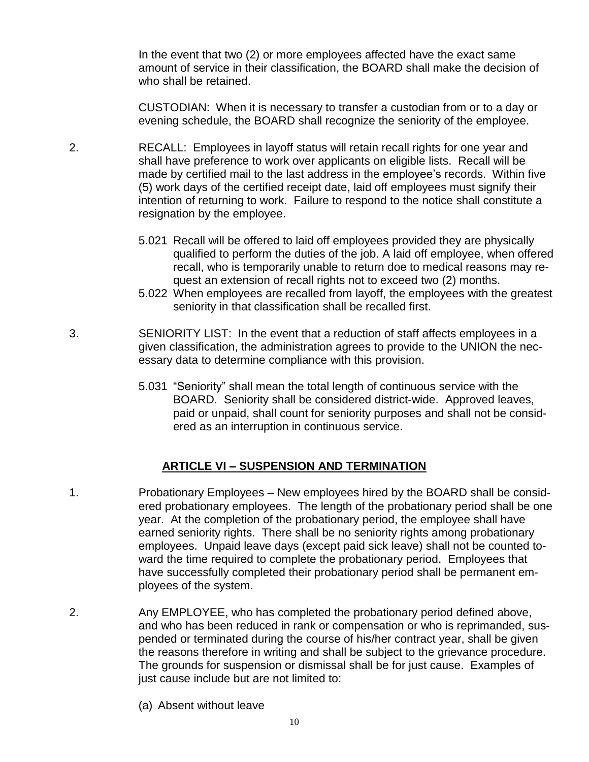In the event that two (2) or more employees affected have the exact same amount of service in their classification, the BOARD shall make the decision of who shall be retained.

CUSTODIAN: When it is necessary to transfer a custodian from or to a day or evening schedule, the BOARD shall recognize the seniority of the employee.

- 2. RECALL: Employees in layoff status will retain recall rights for one year and shall have preference to work over applicants on eligible lists. Recall will be made by certified mail to the last address in the employee's records. Within five (5) work days of the certified receipt date, laid off employees must signify their intention of returning to work. Failure to respond to the notice shall constitute a resignation by the employee.
	- 5.021 Recall will be offered to laid off employees provided they are physically qualified to perform the duties of the job. A laid off employee, when offered recall, who is temporarily unable to return doe to medical reasons may request an extension of recall rights not to exceed two (2) months.
	- 5.022 When employees are recalled from layoff, the employees with the greatest seniority in that classification shall be recalled first.
- 3. SENIORITY LIST: In the event that a reduction of staff affects employees in a given classification, the administration agrees to provide to the UNION the necessary data to determine compliance with this provision.
	- 5.031 "Seniority" shall mean the total length of continuous service with the BOARD. Seniority shall be considered district-wide. Approved leaves, paid or unpaid, shall count for seniority purposes and shall not be considered as an interruption in continuous service.

#### **ARTICLE VI – SUSPENSION AND TERMINATION**

- 1. Probationary Employees New employees hired by the BOARD shall be considered probationary employees. The length of the probationary period shall be one year. At the completion of the probationary period, the employee shall have earned seniority rights. There shall be no seniority rights among probationary employees. Unpaid leave days (except paid sick leave) shall not be counted toward the time required to complete the probationary period. Employees that have successfully completed their probationary period shall be permanent employees of the system.
- 2. Any EMPLOYEE, who has completed the probationary period defined above, and who has been reduced in rank or compensation or who is reprimanded, suspended or terminated during the course of his/her contract year, shall be given the reasons therefore in writing and shall be subject to the grievance procedure. The grounds for suspension or dismissal shall be for just cause. Examples of just cause include but are not limited to:
	- (a) Absent without leave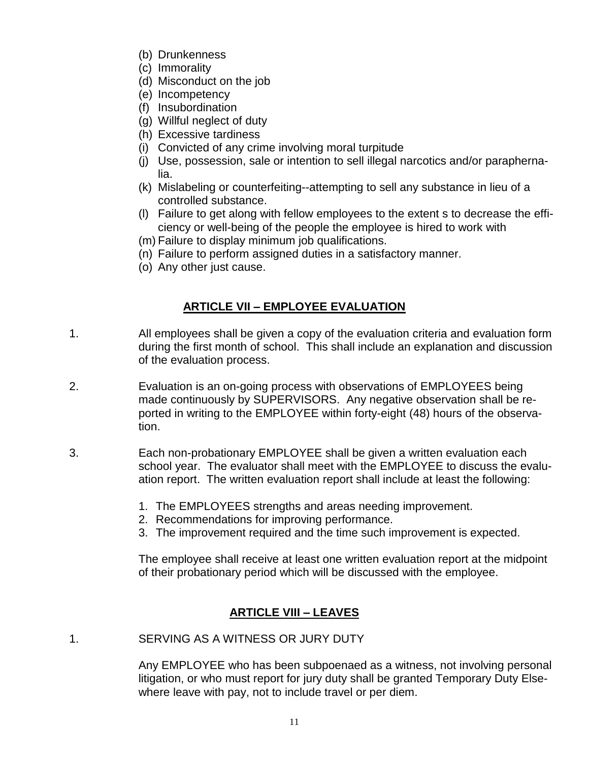- (b) Drunkenness
- (c) Immorality
- (d) Misconduct on the job
- (e) Incompetency
- (f) Insubordination
- (g) Willful neglect of duty
- (h) Excessive tardiness
- (i) Convicted of any crime involving moral turpitude
- (j) Use, possession, sale or intention to sell illegal narcotics and/or paraphernalia.
- (k) Mislabeling or counterfeiting--attempting to sell any substance in lieu of a controlled substance.
- (l) Failure to get along with fellow employees to the extent s to decrease the efficiency or well-being of the people the employee is hired to work with
- (m) Failure to display minimum job qualifications.
- (n) Failure to perform assigned duties in a satisfactory manner.
- (o) Any other just cause.

### **ARTICLE VII – EMPLOYEE EVALUATION**

- 1. All employees shall be given a copy of the evaluation criteria and evaluation form during the first month of school. This shall include an explanation and discussion of the evaluation process.
- 2. Evaluation is an on-going process with observations of EMPLOYEES being made continuously by SUPERVISORS. Any negative observation shall be reported in writing to the EMPLOYEE within forty-eight (48) hours of the observation.
- 3. Each non-probationary EMPLOYEE shall be given a written evaluation each school year. The evaluator shall meet with the EMPLOYEE to discuss the evaluation report. The written evaluation report shall include at least the following:
	- 1. The EMPLOYEES strengths and areas needing improvement.
	- 2. Recommendations for improving performance.
	- 3. The improvement required and the time such improvement is expected.

The employee shall receive at least one written evaluation report at the midpoint of their probationary period which will be discussed with the employee.

## **ARTICLE VIII – LEAVES**

1. SERVING AS A WITNESS OR JURY DUTY

Any EMPLOYEE who has been subpoenaed as a witness, not involving personal litigation, or who must report for jury duty shall be granted Temporary Duty Elsewhere leave with pay, not to include travel or per diem.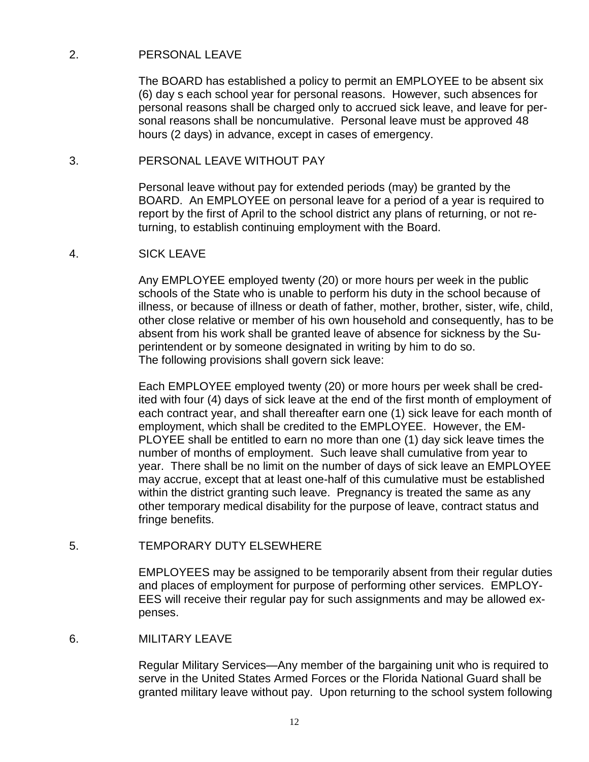#### 2. PERSONAL LEAVE

The BOARD has established a policy to permit an EMPLOYEE to be absent six (6) day s each school year for personal reasons. However, such absences for personal reasons shall be charged only to accrued sick leave, and leave for personal reasons shall be noncumulative. Personal leave must be approved 48 hours (2 days) in advance, except in cases of emergency.

#### 3. PERSONAL LEAVE WITHOUT PAY

Personal leave without pay for extended periods (may) be granted by the BOARD. An EMPLOYEE on personal leave for a period of a year is required to report by the first of April to the school district any plans of returning, or not returning, to establish continuing employment with the Board.

#### 4. SICK LEAVE

Any EMPLOYEE employed twenty (20) or more hours per week in the public schools of the State who is unable to perform his duty in the school because of illness, or because of illness or death of father, mother, brother, sister, wife, child, other close relative or member of his own household and consequently, has to be absent from his work shall be granted leave of absence for sickness by the Superintendent or by someone designated in writing by him to do so. The following provisions shall govern sick leave:

Each EMPLOYEE employed twenty (20) or more hours per week shall be credited with four (4) days of sick leave at the end of the first month of employment of each contract year, and shall thereafter earn one (1) sick leave for each month of employment, which shall be credited to the EMPLOYEE. However, the EM-PLOYEE shall be entitled to earn no more than one (1) day sick leave times the number of months of employment. Such leave shall cumulative from year to year. There shall be no limit on the number of days of sick leave an EMPLOYEE may accrue, except that at least one-half of this cumulative must be established within the district granting such leave. Pregnancy is treated the same as any other temporary medical disability for the purpose of leave, contract status and fringe benefits.

#### 5. TEMPORARY DUTY ELSEWHERE

EMPLOYEES may be assigned to be temporarily absent from their regular duties and places of employment for purpose of performing other services. EMPLOY-EES will receive their regular pay for such assignments and may be allowed expenses.

#### 6. MILITARY LEAVE

Regular Military Services—Any member of the bargaining unit who is required to serve in the United States Armed Forces or the Florida National Guard shall be granted military leave without pay. Upon returning to the school system following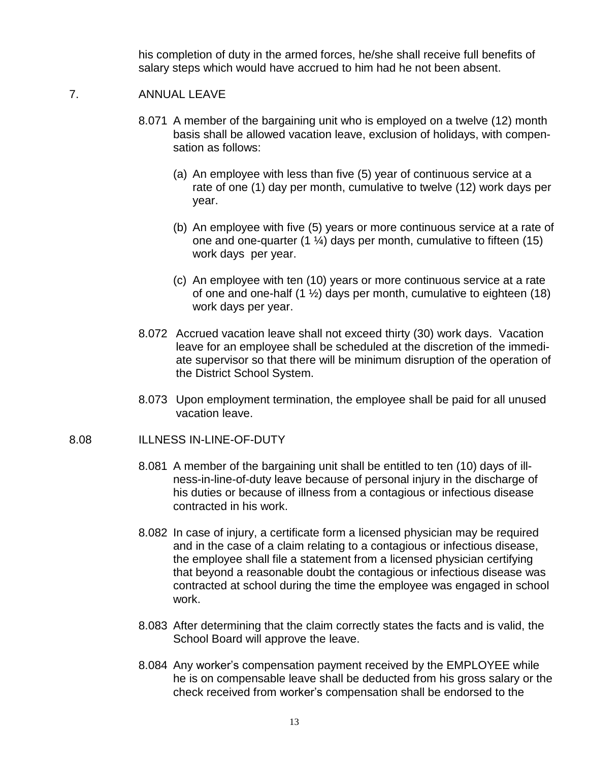his completion of duty in the armed forces, he/she shall receive full benefits of salary steps which would have accrued to him had he not been absent.

#### 7. ANNUAL LEAVE

- 8.071 A member of the bargaining unit who is employed on a twelve (12) month basis shall be allowed vacation leave, exclusion of holidays, with compensation as follows:
	- (a) An employee with less than five (5) year of continuous service at a rate of one (1) day per month, cumulative to twelve (12) work days per year.
	- (b) An employee with five (5) years or more continuous service at a rate of one and one-quarter  $(1 \frac{1}{4})$  days per month, cumulative to fifteen  $(15)$ work days per year.
	- (c) An employee with ten (10) years or more continuous service at a rate of one and one-half (1 ½) days per month, cumulative to eighteen (18) work days per year.
- 8.072 Accrued vacation leave shall not exceed thirty (30) work days. Vacation leave for an employee shall be scheduled at the discretion of the immediate supervisor so that there will be minimum disruption of the operation of the District School System.
- 8.073 Upon employment termination, the employee shall be paid for all unused vacation leave.

#### 8.08 ILLNESS IN-LINE-OF-DUTY

- 8.081 A member of the bargaining unit shall be entitled to ten (10) days of illness-in-line-of-duty leave because of personal injury in the discharge of his duties or because of illness from a contagious or infectious disease contracted in his work.
- 8.082 In case of injury, a certificate form a licensed physician may be required and in the case of a claim relating to a contagious or infectious disease, the employee shall file a statement from a licensed physician certifying that beyond a reasonable doubt the contagious or infectious disease was contracted at school during the time the employee was engaged in school work.
- 8.083 After determining that the claim correctly states the facts and is valid, the School Board will approve the leave.
- 8.084 Any worker's compensation payment received by the EMPLOYEE while he is on compensable leave shall be deducted from his gross salary or the check received from worker's compensation shall be endorsed to the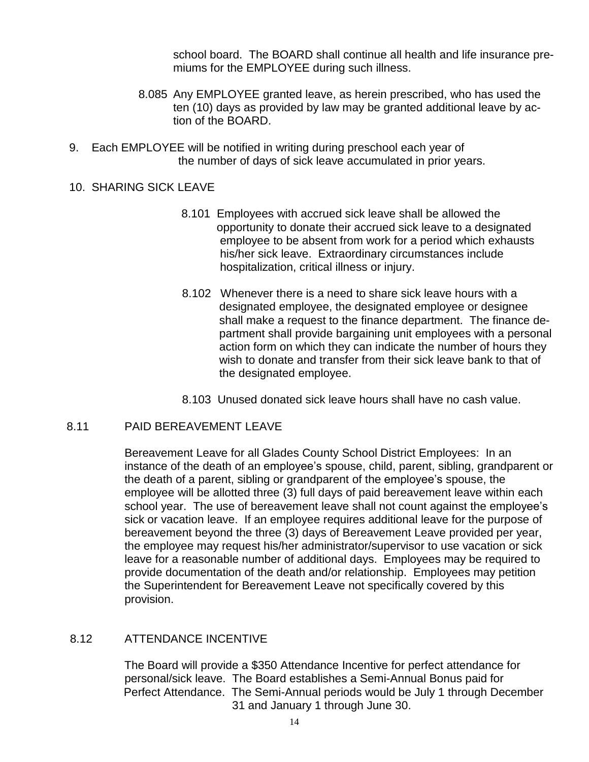school board. The BOARD shall continue all health and life insurance premiums for the EMPLOYEE during such illness.

- 8.085 Any EMPLOYEE granted leave, as herein prescribed, who has used the ten (10) days as provided by law may be granted additional leave by action of the BOARD.
- 9. Each EMPLOYEE will be notified in writing during preschool each year of the number of days of sick leave accumulated in prior years.

#### 10. SHARING SICK LEAVE

- 8.101 Employees with accrued sick leave shall be allowed the opportunity to donate their accrued sick leave to a designated employee to be absent from work for a period which exhausts his/her sick leave. Extraordinary circumstances include hospitalization, critical illness or injury.
- 8.102 Whenever there is a need to share sick leave hours with a designated employee, the designated employee or designee shall make a request to the finance department. The finance department shall provide bargaining unit employees with a personal action form on which they can indicate the number of hours they wish to donate and transfer from their sick leave bank to that of the designated employee.
- 8.103 Unused donated sick leave hours shall have no cash value.

#### 8.11 PAID BEREAVEMENT LEAVE

 Bereavement Leave for all Glades County School District Employees: In an instance of the death of an employee's spouse, child, parent, sibling, grandparent or the death of a parent, sibling or grandparent of the employee's spouse, the employee will be allotted three (3) full days of paid bereavement leave within each school year. The use of bereavement leave shall not count against the employee's sick or vacation leave. If an employee requires additional leave for the purpose of bereavement beyond the three (3) days of Bereavement Leave provided per year, the employee may request his/her administrator/supervisor to use vacation or sick leave for a reasonable number of additional days. Employees may be required to provide documentation of the death and/or relationship. Employees may petition the Superintendent for Bereavement Leave not specifically covered by this provision.

#### 8.12 ATTENDANCE INCENTIVE

 The Board will provide a \$350 Attendance Incentive for perfect attendance for personal/sick leave. The Board establishes a Semi-Annual Bonus paid for Perfect Attendance. The Semi-Annual periods would be July 1 through December 31 and January 1 through June 30.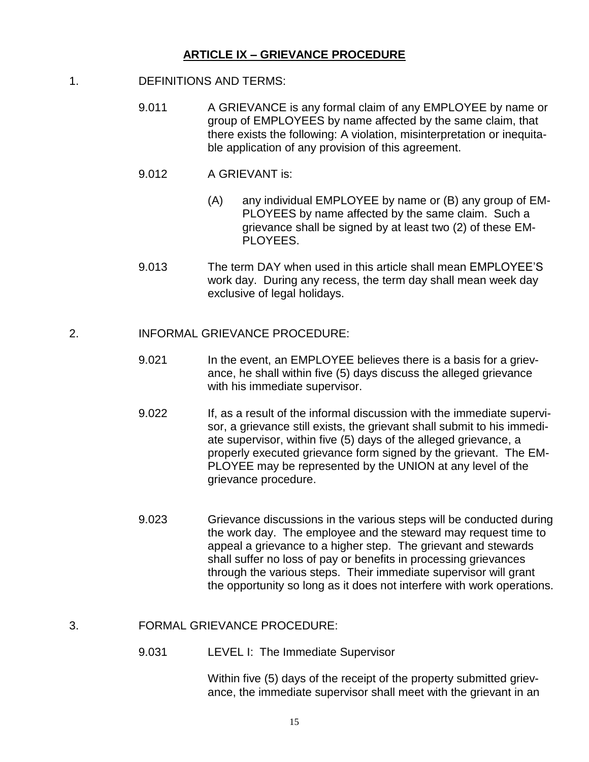#### **ARTICLE IX – GRIEVANCE PROCEDURE**

- 1. DEFINITIONS AND TERMS:
	- 9.011 A GRIEVANCE is any formal claim of any EMPLOYEE by name or group of EMPLOYEES by name affected by the same claim, that there exists the following: A violation, misinterpretation or inequitable application of any provision of this agreement.
	- 9.012 A GRIEVANT is:
		- (A) any individual EMPLOYEE by name or (B) any group of EM-PLOYEES by name affected by the same claim. Such a grievance shall be signed by at least two (2) of these EM-PLOYEES.
	- 9.013 The term DAY when used in this article shall mean EMPLOYEE'S work day. During any recess, the term day shall mean week day exclusive of legal holidays.

#### 2. INFORMAL GRIEVANCE PROCEDURE:

- 9.021 In the event, an EMPLOYEE believes there is a basis for a grievance, he shall within five (5) days discuss the alleged grievance with his immediate supervisor.
- 9.022 If, as a result of the informal discussion with the immediate supervisor, a grievance still exists, the grievant shall submit to his immediate supervisor, within five (5) days of the alleged grievance, a properly executed grievance form signed by the grievant. The EM-PLOYEE may be represented by the UNION at any level of the grievance procedure.
- 9.023 Grievance discussions in the various steps will be conducted during the work day. The employee and the steward may request time to appeal a grievance to a higher step. The grievant and stewards shall suffer no loss of pay or benefits in processing grievances through the various steps. Their immediate supervisor will grant the opportunity so long as it does not interfere with work operations.

#### 3. FORMAL GRIEVANCE PROCEDURE:

9.031 LEVEL I: The Immediate Supervisor

Within five (5) days of the receipt of the property submitted grievance, the immediate supervisor shall meet with the grievant in an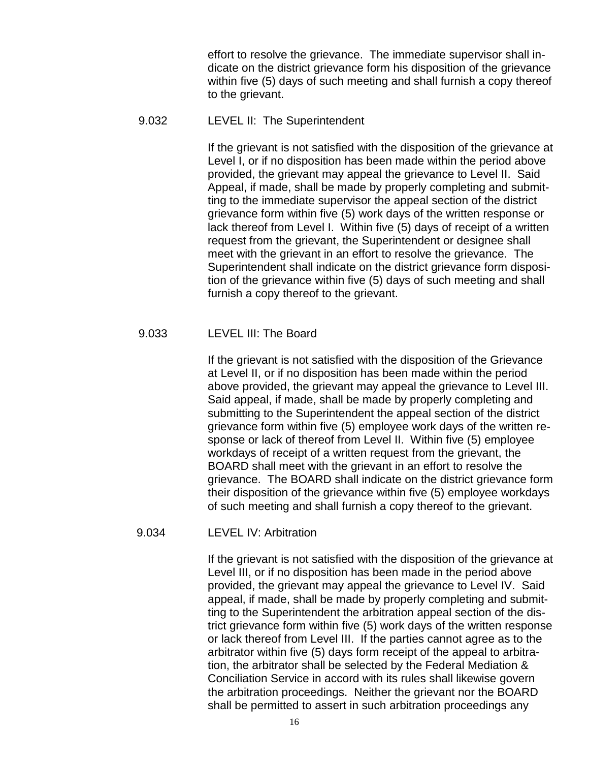effort to resolve the grievance. The immediate supervisor shall indicate on the district grievance form his disposition of the grievance within five (5) days of such meeting and shall furnish a copy thereof to the grievant.

#### 9.032 LEVEL II: The Superintendent

If the grievant is not satisfied with the disposition of the grievance at Level I, or if no disposition has been made within the period above provided, the grievant may appeal the grievance to Level II. Said Appeal, if made, shall be made by properly completing and submitting to the immediate supervisor the appeal section of the district grievance form within five (5) work days of the written response or lack thereof from Level I. Within five (5) days of receipt of a written request from the grievant, the Superintendent or designee shall meet with the grievant in an effort to resolve the grievance. The Superintendent shall indicate on the district grievance form disposition of the grievance within five (5) days of such meeting and shall furnish a copy thereof to the grievant.

#### 9.033 LEVEL III: The Board

If the grievant is not satisfied with the disposition of the Grievance at Level II, or if no disposition has been made within the period above provided, the grievant may appeal the grievance to Level III. Said appeal, if made, shall be made by properly completing and submitting to the Superintendent the appeal section of the district grievance form within five (5) employee work days of the written response or lack of thereof from Level II. Within five (5) employee workdays of receipt of a written request from the grievant, the BOARD shall meet with the grievant in an effort to resolve the grievance. The BOARD shall indicate on the district grievance form their disposition of the grievance within five (5) employee workdays of such meeting and shall furnish a copy thereof to the grievant.

#### 9.034 LEVEL IV: Arbitration

If the grievant is not satisfied with the disposition of the grievance at Level III, or if no disposition has been made in the period above provided, the grievant may appeal the grievance to Level IV. Said appeal, if made, shall be made by properly completing and submitting to the Superintendent the arbitration appeal section of the district grievance form within five (5) work days of the written response or lack thereof from Level III. If the parties cannot agree as to the arbitrator within five (5) days form receipt of the appeal to arbitration, the arbitrator shall be selected by the Federal Mediation & Conciliation Service in accord with its rules shall likewise govern the arbitration proceedings. Neither the grievant nor the BOARD shall be permitted to assert in such arbitration proceedings any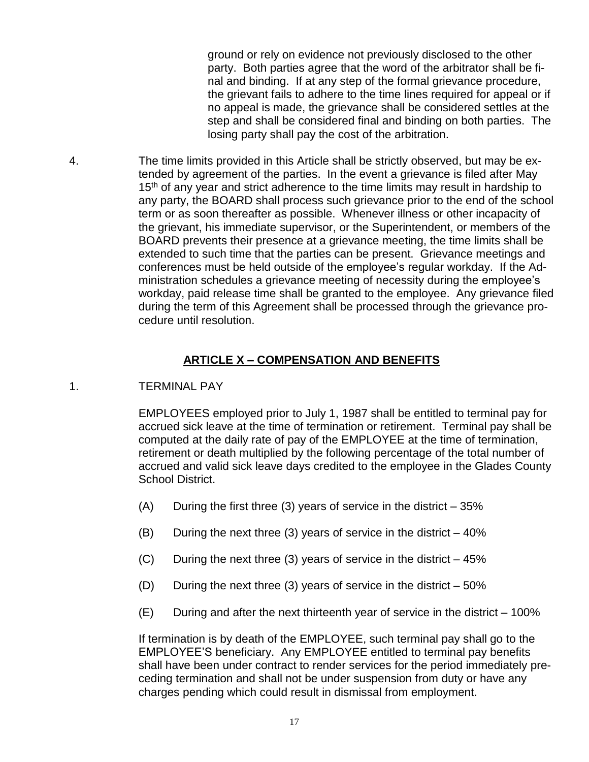ground or rely on evidence not previously disclosed to the other party. Both parties agree that the word of the arbitrator shall be final and binding. If at any step of the formal grievance procedure, the grievant fails to adhere to the time lines required for appeal or if no appeal is made, the grievance shall be considered settles at the step and shall be considered final and binding on both parties. The losing party shall pay the cost of the arbitration.

4. The time limits provided in this Article shall be strictly observed, but may be extended by agreement of the parties. In the event a grievance is filed after May 15<sup>th</sup> of any year and strict adherence to the time limits may result in hardship to any party, the BOARD shall process such grievance prior to the end of the school term or as soon thereafter as possible. Whenever illness or other incapacity of the grievant, his immediate supervisor, or the Superintendent, or members of the BOARD prevents their presence at a grievance meeting, the time limits shall be extended to such time that the parties can be present. Grievance meetings and conferences must be held outside of the employee's regular workday. If the Administration schedules a grievance meeting of necessity during the employee's workday, paid release time shall be granted to the employee. Any grievance filed during the term of this Agreement shall be processed through the grievance procedure until resolution.

#### **ARTICLE X – COMPENSATION AND BENEFITS**

1. TERMINAL PAY

EMPLOYEES employed prior to July 1, 1987 shall be entitled to terminal pay for accrued sick leave at the time of termination or retirement. Terminal pay shall be computed at the daily rate of pay of the EMPLOYEE at the time of termination, retirement or death multiplied by the following percentage of the total number of accrued and valid sick leave days credited to the employee in the Glades County School District.

- $(A)$  During the first three (3) years of service in the district  $-35\%$
- $(B)$  During the next three (3) years of service in the district  $-40\%$
- $(C)$  During the next three (3) years of service in the district  $-45\%$
- (D) During the next three (3) years of service in the district  $-50\%$
- $(E)$  During and after the next thirteenth year of service in the district 100%

If termination is by death of the EMPLOYEE, such terminal pay shall go to the EMPLOYEE'S beneficiary. Any EMPLOYEE entitled to terminal pay benefits shall have been under contract to render services for the period immediately preceding termination and shall not be under suspension from duty or have any charges pending which could result in dismissal from employment.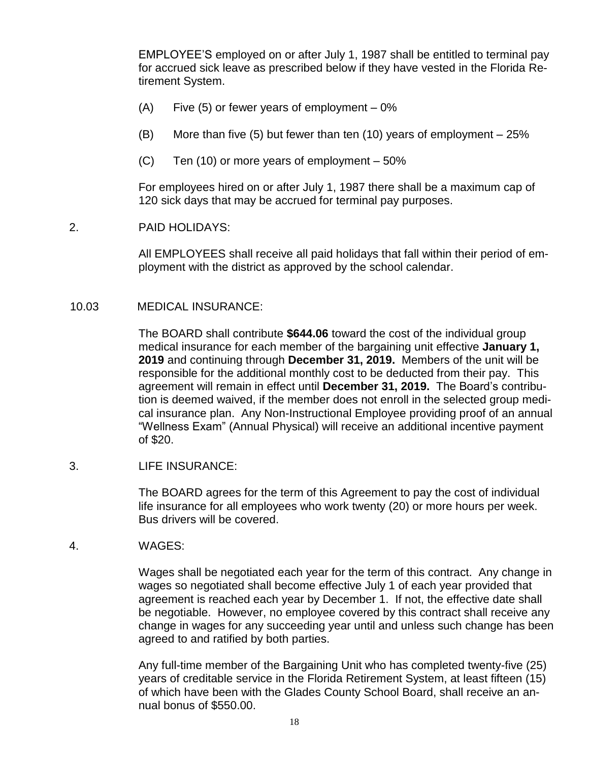EMPLOYEE'S employed on or after July 1, 1987 shall be entitled to terminal pay for accrued sick leave as prescribed below if they have vested in the Florida Retirement System.

- $(A)$  Five (5) or fewer years of employment 0%
- (B) More than five (5) but fewer than ten (10) years of employment 25%
- (C) Ten (10) or more years of employment 50%

For employees hired on or after July 1, 1987 there shall be a maximum cap of 120 sick days that may be accrued for terminal pay purposes.

#### 2. PAID HOLIDAYS:

All EMPLOYEES shall receive all paid holidays that fall within their period of employment with the district as approved by the school calendar.

#### 10.03 MEDICAL INSURANCE:

The BOARD shall contribute **\$644.06** toward the cost of the individual group medical insurance for each member of the bargaining unit effective **January 1, 2019** and continuing through **December 31, 2019.** Members of the unit will be responsible for the additional monthly cost to be deducted from their pay. This agreement will remain in effect until **December 31, 2019.** The Board's contribution is deemed waived, if the member does not enroll in the selected group medical insurance plan. Any Non-Instructional Employee providing proof of an annual "Wellness Exam" (Annual Physical) will receive an additional incentive payment of \$20.

#### 3. LIFE INSURANCE:

The BOARD agrees for the term of this Agreement to pay the cost of individual life insurance for all employees who work twenty (20) or more hours per week. Bus drivers will be covered.

#### 4. WAGES:

Wages shall be negotiated each year for the term of this contract. Any change in wages so negotiated shall become effective July 1 of each year provided that agreement is reached each year by December 1. If not, the effective date shall be negotiable. However, no employee covered by this contract shall receive any change in wages for any succeeding year until and unless such change has been agreed to and ratified by both parties.

Any full-time member of the Bargaining Unit who has completed twenty-five (25) years of creditable service in the Florida Retirement System, at least fifteen (15) of which have been with the Glades County School Board, shall receive an annual bonus of \$550.00.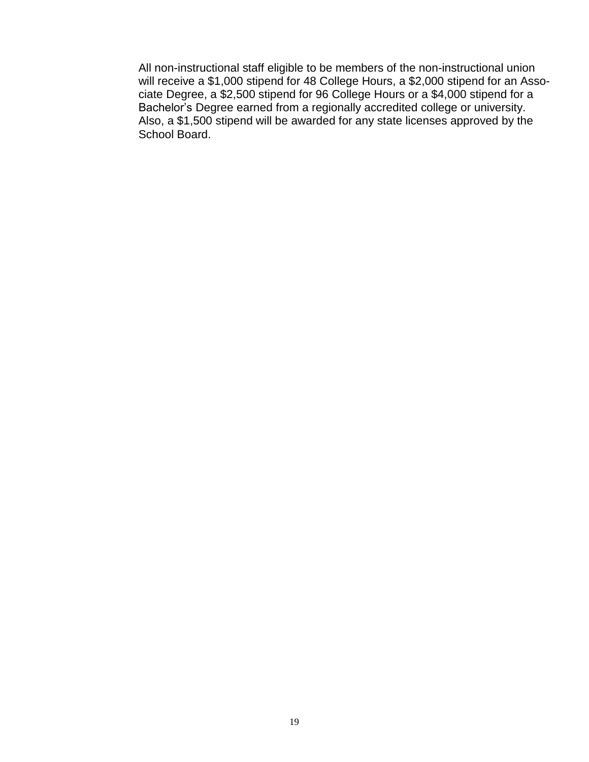All non-instructional staff eligible to be members of the non-instructional union will receive a \$1,000 stipend for 48 College Hours, a \$2,000 stipend for an Associate Degree, a \$2,500 stipend for 96 College Hours or a \$4,000 stipend for a Bachelor's Degree earned from a regionally accredited college or university. Also, a \$1,500 stipend will be awarded for any state licenses approved by the School Board.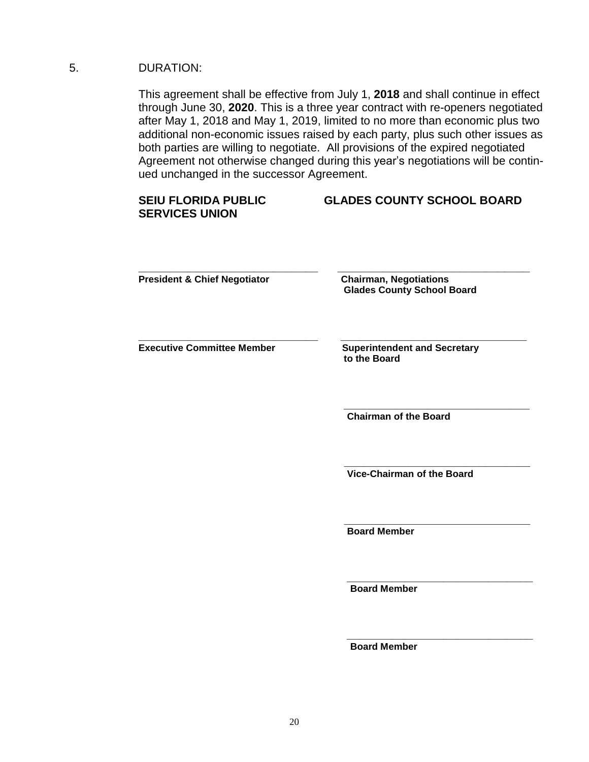#### 5. DURATION:

This agreement shall be effective from July 1, **2018** and shall continue in effect through June 30, **2020**. This is a three year contract with re-openers negotiated after May 1, 2018 and May 1, 2019, limited to no more than economic plus two additional non-economic issues raised by each party, plus such other issues as both parties are willing to negotiate. All provisions of the expired negotiated Agreement not otherwise changed during this year's negotiations will be continued unchanged in the successor Agreement.

| <b>SEIU FLORIDA PUBLIC</b><br><b>SERVICES UNION</b> | <b>GLADES COUNTY SCHOOL BOARD</b>                                  |
|-----------------------------------------------------|--------------------------------------------------------------------|
| <b>President &amp; Chief Negotiator</b>             | <b>Chairman, Negotiations</b><br><b>Glades County School Board</b> |
| <b>Executive Committee Member</b>                   | <b>Superintendent and Secretary</b><br>to the Board                |
|                                                     | <b>Chairman of the Board</b>                                       |
|                                                     |                                                                    |

 **\_\_\_\_\_\_\_\_\_\_\_\_\_\_\_\_\_\_\_\_\_\_\_\_\_\_\_\_\_**

 **\_\_\_\_\_\_\_\_\_\_\_\_\_\_\_\_\_\_\_\_\_\_\_\_\_\_\_\_\_**

 **\_\_\_\_\_\_\_\_\_\_\_\_\_\_\_\_\_\_\_\_\_\_\_\_\_\_\_\_\_**

 **Vice-Chairman of the Board**

 **Board Member**

 **Board Member** 

 **Board Member**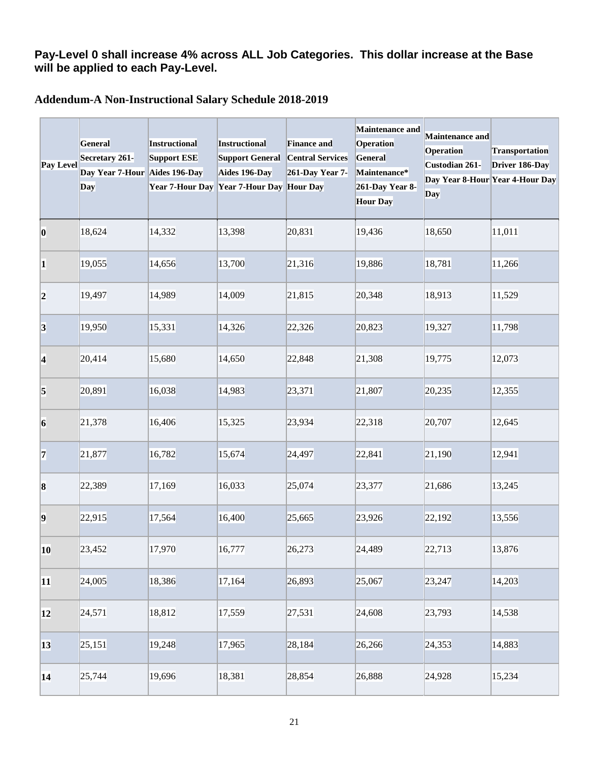### **Pay-Level 0 shall increase 4% across ALL Job Categories. This dollar increase at the Base will be applied to each Pay-Level.**

#### **Addendum-A Non-Instructional Salary Schedule 2018-2019**

| Pay Level       | General<br>Secretary 261-<br>Day Year 7-Hour Aides 196-Day<br>Day | Instructional<br>Support ESE<br>Year 7-Hour Day | Instructional<br><b>Support General</b><br>Aides 196-Day<br>Year 7-Hour Day Hour Day | <b>Finance and</b><br><b>Central Services</b><br>261-Day Year 7- | Maintenance and<br><b>Operation</b><br>General<br>Maintenance*<br>261-Day Year 8-<br><b>Hour Day</b> | Maintenance and<br><b>Operation</b><br>Custodian 261-<br>Day | Transportation<br>Driver 186-Day<br>Day Year 8-Hour Year 4-Hour Day |
|-----------------|-------------------------------------------------------------------|-------------------------------------------------|--------------------------------------------------------------------------------------|------------------------------------------------------------------|------------------------------------------------------------------------------------------------------|--------------------------------------------------------------|---------------------------------------------------------------------|
| 0               | 18,624                                                            | 14,332                                          | 13,398                                                                               | 20,831                                                           | 19,436                                                                                               | 18,650                                                       | 11,011                                                              |
| $\vert$ 1       | 19,055                                                            | 14,656                                          | 13,700                                                                               | 21,316                                                           | 19,886                                                                                               | 18,781                                                       | 11,266                                                              |
| 2               | 19,497                                                            | 14,989                                          | 14,009                                                                               | 21,815                                                           | 20,348                                                                                               | 18,913                                                       | 11,529                                                              |
| 3               | 19,950                                                            | 15,331                                          | 14,326                                                                               | 22,326                                                           | 20,823                                                                                               | 19,327                                                       | 11,798                                                              |
| 4               | 20,414                                                            | 15,680                                          | 14,650                                                                               | 22,848                                                           | 21,308                                                                                               | 19,775                                                       | 12,073                                                              |
| 5               | 20,891                                                            | 16,038                                          | 14,983                                                                               | 23,371                                                           | 21,807                                                                                               | 20,235                                                       | 12,355                                                              |
| $\vert 6 \vert$ | 21,378                                                            | 16,406                                          | 15,325                                                                               | 23,934                                                           | 22,318                                                                                               | 20,707                                                       | 12,645                                                              |
| 7               | 21,877                                                            | 16,782                                          | 15,674                                                                               | 24,497                                                           | 22,841                                                                                               | 21,190                                                       | 12,941                                                              |
| $\bf{8}$        | 22,389                                                            | 17,169                                          | 16,033                                                                               | 25,074                                                           | 23,377                                                                                               | 21,686                                                       | 13,245                                                              |
| $ 9\rangle$     | 22,915                                                            | 17,564                                          | 16,400                                                                               | 25,665                                                           | 23,926                                                                                               | 22,192                                                       | 13,556                                                              |
| 10              | 23,452                                                            | 17,970                                          | 16,777                                                                               | 26,273                                                           | 24,489                                                                                               | 22,713                                                       | 13,876                                                              |
| 11              | 24,005                                                            | 18,386                                          | 17,164                                                                               | 26,893                                                           | 25,067                                                                                               | 23,247                                                       | 14,203                                                              |
| 12              | 24,571                                                            | 18,812                                          | 17,559                                                                               | 27,531                                                           | 24,608                                                                                               | 23,793                                                       | 14,538                                                              |
| 13              | 25,151                                                            | 19,248                                          | 17,965                                                                               | 28,184                                                           | 26,266                                                                                               | 24,353                                                       | 14,883                                                              |
| 14              | 25,744                                                            | 19,696                                          | 18,381                                                                               | 28,854                                                           | 26,888                                                                                               | 24,928                                                       | 15,234                                                              |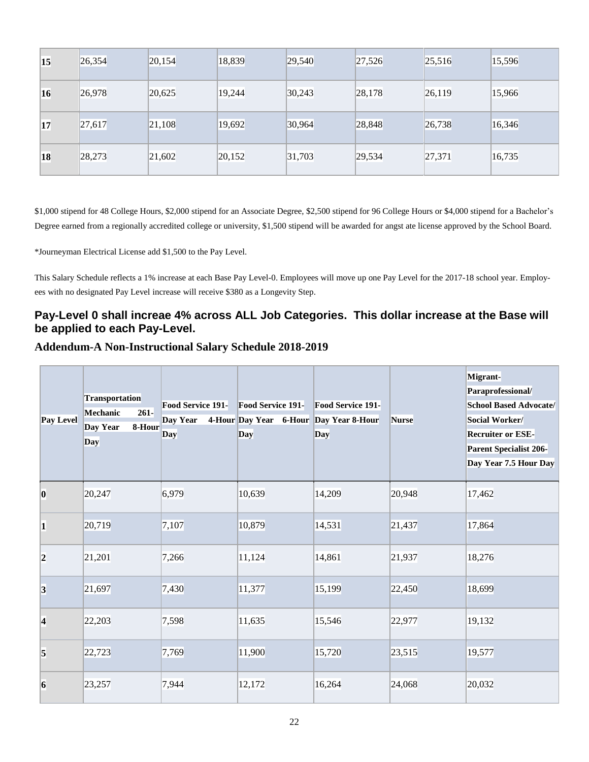| 15 | 26,354 | 20,154 | 18,839 | 29,540 | 27,526 | 25,516 | 15,596 |
|----|--------|--------|--------|--------|--------|--------|--------|
| 16 | 26,978 | 20,625 | 19,244 | 30,243 | 28,178 | 26,119 | 15,966 |
| 17 | 27,617 | 21,108 | 19,692 | 30,964 | 28,848 | 26,738 | 16,346 |
| 18 | 28,273 | 21,602 | 20,152 | 31,703 | 29,534 | 27,371 | 16,735 |

\$1,000 stipend for 48 College Hours, \$2,000 stipend for an Associate Degree, \$2,500 stipend for 96 College Hours or \$4,000 stipend for a Bachelor's Degree earned from a regionally accredited college or university, \$1,500 stipend will be awarded for angst ate license approved by the School Board.

\*Journeyman Electrical License add \$1,500 to the Pay Level.

This Salary Schedule reflects a 1% increase at each Base Pay Level-0. Employees will move up one Pay Level for the 2017-18 school year. Employees with no designated Pay Level increase will receive \$380 as a Longevity Step.

## **Pay-Level 0 shall increae 4% across ALL Job Categories. This dollar increase at the Base will be applied to each Pay-Level.**

#### **Addendum-A Non-Instructional Salary Schedule 2018-2019**

| Pay Level   | Transportation<br>$261 -$<br>Mechanic<br>Day Year<br>8-Hour<br>Day | Food Service 191-<br>Day Year<br>Day | <b>Food Service 191-</b><br>4-Hour Day Year 6-Hour Day Year 8-Hour<br>Day | Food Service 191-<br>Day | Nurse  | Migrant-<br>Paraprofessional/<br><b>School Based Advocate/</b><br>Social Worker/<br><b>Recruiter or ESE-</b><br><b>Parent Specialist 206-</b><br>Day Year 7.5 Hour Day |
|-------------|--------------------------------------------------------------------|--------------------------------------|---------------------------------------------------------------------------|--------------------------|--------|------------------------------------------------------------------------------------------------------------------------------------------------------------------------|
| $ 0\rangle$ | 20,247                                                             | 6,979                                | 10,639                                                                    | 14,209                   | 20,948 | 17,462                                                                                                                                                                 |
| 1           | 20,719                                                             | 7,107                                | 10,879                                                                    | 14,531                   | 21,437 | 17,864                                                                                                                                                                 |
| 2           | 21,201                                                             | 7,266                                | 11,124                                                                    | 14,861                   | 21,937 | 18,276                                                                                                                                                                 |
| 3           | 21,697                                                             | 7,430                                | 11,377                                                                    | 15,199                   | 22,450 | 18,699                                                                                                                                                                 |
| 4           | 22,203                                                             | 7,598                                | 11,635                                                                    | 15,546                   | 22,977 | 19,132                                                                                                                                                                 |
| 5           | 22,723                                                             | 7,769                                | 11,900                                                                    | 15,720                   | 23,515 | 19,577                                                                                                                                                                 |
| 6           | 23,257                                                             | 7,944                                | 12,172                                                                    | 16,264                   | 24,068 | 20,032                                                                                                                                                                 |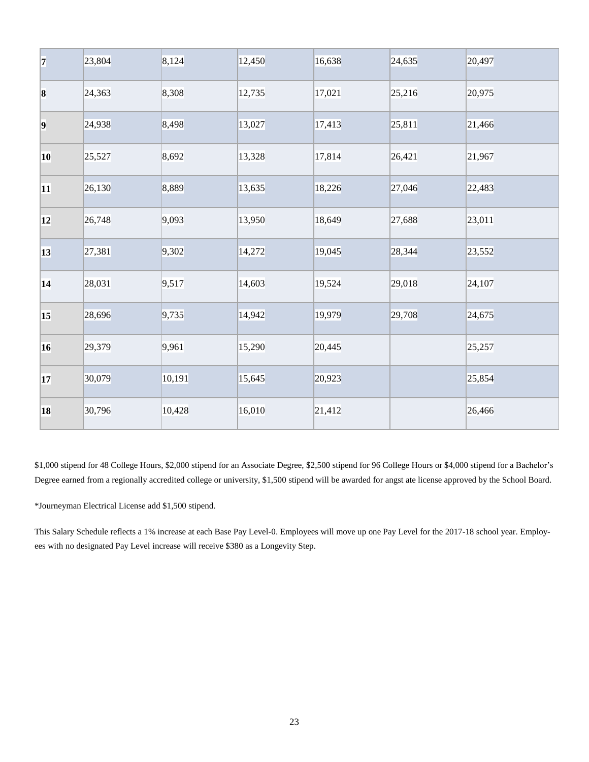| 7         | 23,804 | 8,124  | 12,450 | 16,638 | 24,635 | 20,497 |
|-----------|--------|--------|--------|--------|--------|--------|
| $\vert 8$ | 24,363 | 8,308  | 12,735 | 17,021 | 25,216 | 20,975 |
| 9         | 24,938 | 8,498  | 13,027 | 17,413 | 25,811 | 21,466 |
| 10        | 25,527 | 8,692  | 13,328 | 17,814 | 26,421 | 21,967 |
| 11        | 26,130 | 8,889  | 13,635 | 18,226 | 27,046 | 22,483 |
| 12        | 26,748 | 9,093  | 13,950 | 18,649 | 27,688 | 23,011 |
| 13        | 27,381 | 9,302  | 14,272 | 19,045 | 28,344 | 23,552 |
| 14        | 28,031 | 9,517  | 14,603 | 19,524 | 29,018 | 24,107 |
| 15        | 28,696 | 9,735  | 14,942 | 19,979 | 29,708 | 24,675 |
| 16        | 29,379 | 9,961  | 15,290 | 20,445 |        | 25,257 |
| 17        | 30,079 | 10,191 | 15,645 | 20,923 |        | 25,854 |
| 18        | 30,796 | 10,428 | 16,010 | 21,412 |        | 26,466 |

\$1,000 stipend for 48 College Hours, \$2,000 stipend for an Associate Degree, \$2,500 stipend for 96 College Hours or \$4,000 stipend for a Bachelor's Degree earned from a regionally accredited college or university, \$1,500 stipend will be awarded for angst ate license approved by the School Board.

\*Journeyman Electrical License add \$1,500 stipend.

This Salary Schedule reflects a 1% increase at each Base Pay Level-0. Employees will move up one Pay Level for the 2017-18 school year. Employees with no designated Pay Level increase will receive \$380 as a Longevity Step.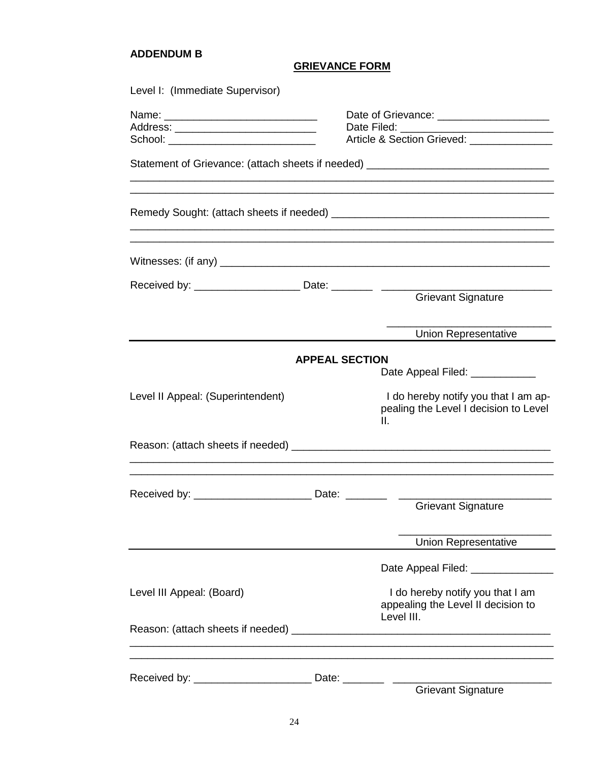#### **ADDENDUM B**

#### **GRIEVANCE FORM**

| Level I: (Immediate Supervisor)   |                       |                                                                                      |  |  |  |
|-----------------------------------|-----------------------|--------------------------------------------------------------------------------------|--|--|--|
|                                   |                       |                                                                                      |  |  |  |
|                                   |                       | Date Filed: _______<br>Article & Section Grieved: _______________                    |  |  |  |
|                                   |                       | Statement of Grievance: (attach sheets if needed) ______________________________     |  |  |  |
|                                   |                       |                                                                                      |  |  |  |
|                                   |                       |                                                                                      |  |  |  |
|                                   |                       |                                                                                      |  |  |  |
|                                   |                       |                                                                                      |  |  |  |
|                                   |                       | <b>Grievant Signature</b>                                                            |  |  |  |
|                                   |                       | <b>Union Representative</b>                                                          |  |  |  |
|                                   | <b>APPEAL SECTION</b> |                                                                                      |  |  |  |
|                                   |                       | Date Appeal Filed: ___________                                                       |  |  |  |
| Level II Appeal: (Superintendent) |                       | I do hereby notify you that I am ap-<br>pealing the Level I decision to Level<br>Ш.  |  |  |  |
|                                   |                       |                                                                                      |  |  |  |
|                                   |                       |                                                                                      |  |  |  |
|                                   |                       | <b>Grievant Signature</b>                                                            |  |  |  |
|                                   |                       | Union Representative                                                                 |  |  |  |
|                                   |                       | Date Appeal Filed: _______________                                                   |  |  |  |
| Level III Appeal: (Board)         |                       | I do hereby notify you that I am<br>appealing the Level II decision to<br>Level III. |  |  |  |
|                                   |                       |                                                                                      |  |  |  |
|                                   |                       |                                                                                      |  |  |  |
|                                   |                       | <b>Grievant Signature</b>                                                            |  |  |  |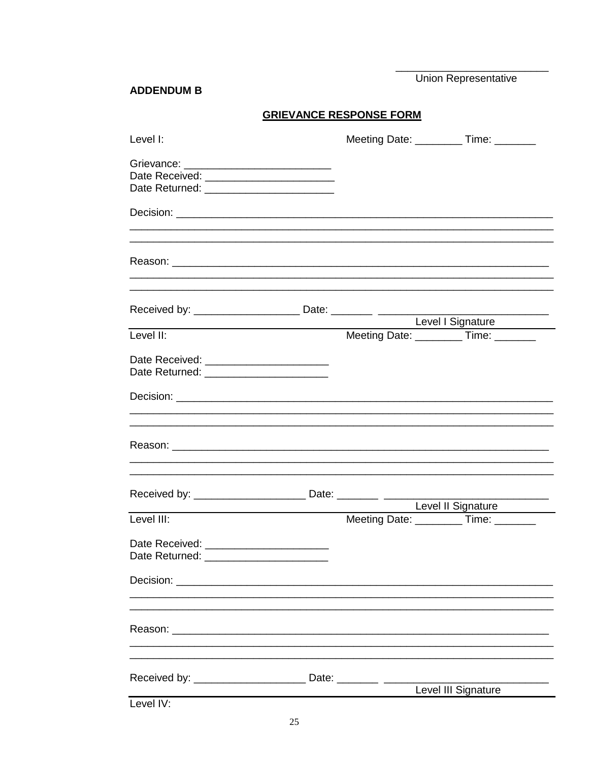Union Representative

#### **ADDENDUM B**

# **GRIEVANCE RESPONSE FORM**

| Level I:                                                                              |  | Meeting Date: __________Time: _______                        |
|---------------------------------------------------------------------------------------|--|--------------------------------------------------------------|
| Grievance: ______________________________<br>Date Returned: _________________________ |  |                                                              |
|                                                                                       |  |                                                              |
|                                                                                       |  |                                                              |
|                                                                                       |  |                                                              |
| Level II:                                                                             |  | Level I Signature<br>Meeting Date: ___________ Time: _______ |
| Date Received: _______________________                                                |  |                                                              |
|                                                                                       |  |                                                              |
|                                                                                       |  |                                                              |
|                                                                                       |  | Level II Signature                                           |
| Level III:                                                                            |  | Meeting Date: ___________ Time: ________                     |
| Date Returned:                                                                        |  |                                                              |
|                                                                                       |  |                                                              |
|                                                                                       |  |                                                              |
|                                                                                       |  | Level III Signature                                          |
| Level IV:                                                                             |  |                                                              |